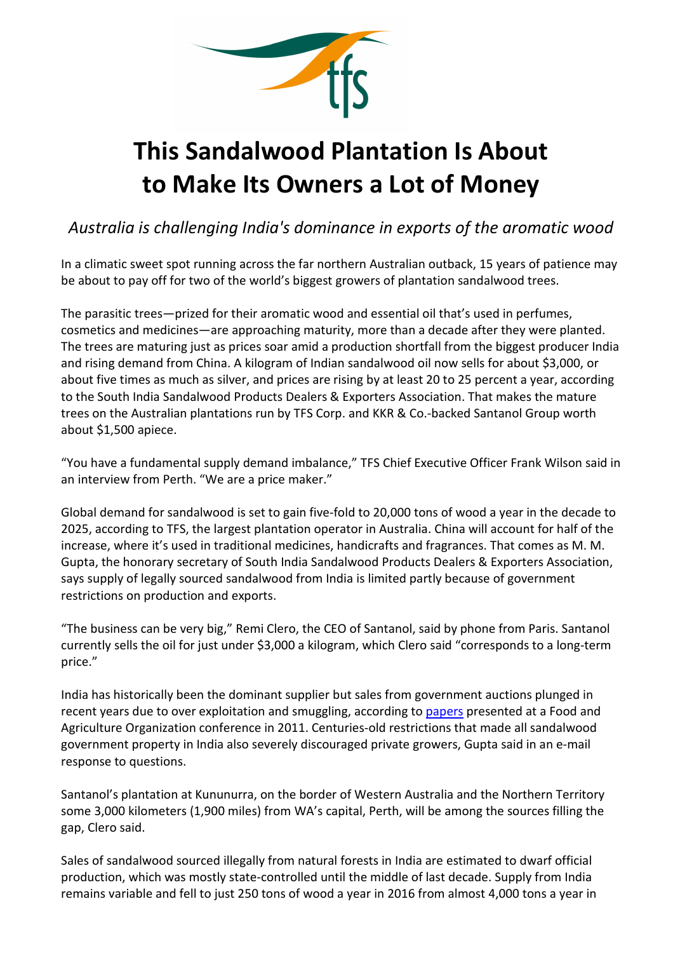

## This Sandalwood Plantation Is About to Make Its Owners a Lot of Money

## Australia is challenging India's dominance in exports of the aromatic wood

In a climatic sweet spot running across the far northern Australian outback, 15 years of patience may be about to pay off for two of the world's biggest growers of plantation sandalwood trees.

The parasitic trees—prized for their aromatic wood and essential oil that's used in perfumes, cosmetics and medicines—are approaching maturity, more than a decade after they were planted. The trees are maturing just as prices soar amid a production shortfall from the biggest producer India and rising demand from China. A kilogram of Indian sandalwood oil now sells for about \$3,000, or about five times as much as silver, and prices are rising by at least 20 to 25 percent a year, according to the South India Sandalwood Products Dealers & Exporters Association. That makes the mature trees on the Australian plantations run by TFS Corp. and KKR & Co.-backed Santanol Group worth about \$1,500 apiece.

"You have a fundamental supply demand imbalance," TFS Chief Executive Officer Frank Wilson said in an interview from Perth. "We are a price maker."

Global demand for sandalwood is set to gain five-fold to 20,000 tons of wood a year in the decade to 2025, according to TFS, the largest plantation operator in Australia. China will account for half of the increase, where it's used in traditional medicines, handicrafts and fragrances. That comes as M. M. Gupta, the honorary secretary of South India Sandalwood Products Dealers & Exporters Association, says supply of legally sourced sandalwood from India is limited partly because of government restrictions on production and exports.

"The business can be very big," Remi Clero, the CEO of Santanol, said by phone from Paris. Santanol currently sells the oil for just under \$3,000 a kilogram, which Clero said "corresponds to a long-term price."

India has historically been the dominant supplier but sales from government auctions plunged in recent years due to over exploitation and smuggling, according to papers presented at a Food and Agriculture Organization conference in 2011. Centuries-old restrictions that made all sandalwood government property in India also severely discouraged private growers, Gupta said in an e-mail response to questions.

Santanol's plantation at Kununurra, on the border of Western Australia and the Northern Territory some 3,000 kilometers (1,900 miles) from WA's capital, Perth, will be among the sources filling the gap, Clero said.

Sales of sandalwood sourced illegally from natural forests in India are estimated to dwarf official production, which was mostly state-controlled until the middle of last decade. Supply from India remains variable and fell to just 250 tons of wood a year in 2016 from almost 4,000 tons a year in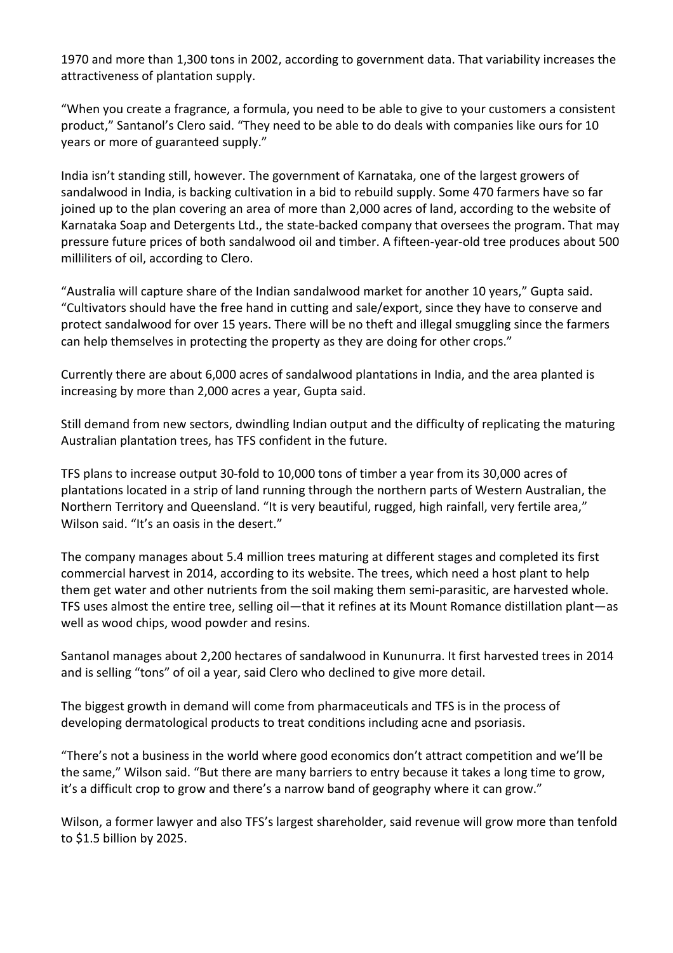1970 and more than 1,300 tons in 2002, according to government data. That variability increases the attractiveness of plantation supply.

"When you create a fragrance, a formula, you need to be able to give to your customers a consistent product," Santanol's Clero said. "They need to be able to do deals with companies like ours for 10 years or more of guaranteed supply."

India isn't standing still, however. The government of Karnataka, one of the largest growers of sandalwood in India, is backing cultivation in a bid to rebuild supply. Some 470 farmers have so far joined up to the plan covering an area of more than 2,000 acres of land, according to the website of Karnataka Soap and Detergents Ltd., the state-backed company that oversees the program. That may pressure future prices of both sandalwood oil and timber. A fifteen-year-old tree produces about 500 milliliters of oil, according to Clero.

"Australia will capture share of the Indian sandalwood market for another 10 years," Gupta said. "Cultivators should have the free hand in cutting and sale/export, since they have to conserve and protect sandalwood for over 15 years. There will be no theft and illegal smuggling since the farmers can help themselves in protecting the property as they are doing for other crops."

Currently there are about 6,000 acres of sandalwood plantations in India, and the area planted is increasing by more than 2,000 acres a year, Gupta said.

Still demand from new sectors, dwindling Indian output and the difficulty of replicating the maturing Australian plantation trees, has TFS confident in the future.

TFS plans to increase output 30-fold to 10,000 tons of timber a year from its 30,000 acres of plantations located in a strip of land running through the northern parts of Western Australian, the Northern Territory and Queensland. "It is very beautiful, rugged, high rainfall, very fertile area," Wilson said. "It's an oasis in the desert."

The company manages about 5.4 million trees maturing at different stages and completed its first commercial harvest in 2014, according to its website. The trees, which need a host plant to help them get water and other nutrients from the soil making them semi-parasitic, are harvested whole. TFS uses almost the entire tree, selling oil—that it refines at its Mount Romance distillation plant—as well as wood chips, wood powder and resins.

Santanol manages about 2,200 hectares of sandalwood in Kununurra. It first harvested trees in 2014 and is selling "tons" of oil a year, said Clero who declined to give more detail.

The biggest growth in demand will come from pharmaceuticals and TFS is in the process of developing dermatological products to treat conditions including acne and psoriasis.

"There's not a business in the world where good economics don't attract competition and we'll be the same," Wilson said. "But there are many barriers to entry because it takes a long time to grow, it's a difficult crop to grow and there's a narrow band of geography where it can grow."

Wilson, a former lawyer and also TFS's largest shareholder, said revenue will grow more than tenfold to \$1.5 billion by 2025.